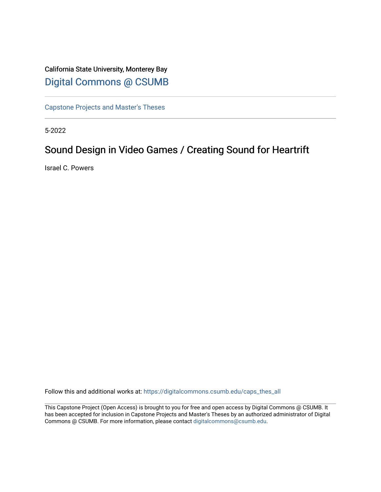### California State University, Monterey Bay [Digital Commons @ CSUMB](https://digitalcommons.csumb.edu/)

[Capstone Projects and Master's Theses](https://digitalcommons.csumb.edu/caps_thes_all)

5-2022

# Sound Design in Video Games / Creating Sound for Heartrift

Israel C. Powers

Follow this and additional works at: [https://digitalcommons.csumb.edu/caps\\_thes\\_all](https://digitalcommons.csumb.edu/caps_thes_all?utm_source=digitalcommons.csumb.edu%2Fcaps_thes_all%2F1328&utm_medium=PDF&utm_campaign=PDFCoverPages)

This Capstone Project (Open Access) is brought to you for free and open access by Digital Commons @ CSUMB. It has been accepted for inclusion in Capstone Projects and Master's Theses by an authorized administrator of Digital Commons @ CSUMB. For more information, please contact [digitalcommons@csumb.edu](mailto:digitalcommons@csumb.edu).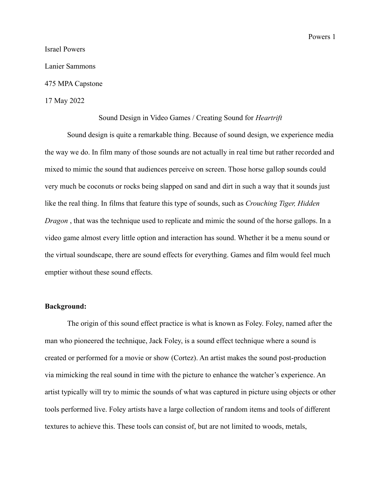Powers 1

## Israel Powers Lanier Sammons

475 MPA Capstone

#### 17 May 2022

#### Sound Design in Video Games / Creating Sound for *Heartrift*

Sound design is quite a remarkable thing. Because of sound design, we experience media the way we do. In film many of those sounds are not actually in real time but rather recorded and mixed to mimic the sound that audiences perceive on screen. Those horse gallop sounds could very much be coconuts or rocks being slapped on sand and dirt in such a way that it sounds just like the real thing. In films that feature this type of sounds, such as *Crouching Tiger, Hidden Dragon*, that was the technique used to replicate and mimic the sound of the horse gallops. In a video game almost every little option and interaction has sound. Whether it be a menu sound or the virtual soundscape, there are sound effects for everything. Games and film would feel much emptier without these sound effects.

### **Background:**

The origin of this sound effect practice is what is known as Foley. Foley, named after the man who pioneered the technique, Jack Foley, is a sound effect technique where a sound is created or performed for a movie or show (Cortez). An artist makes the sound post-production via mimicking the real sound in time with the picture to enhance the watcher's experience. An artist typically will try to mimic the sounds of what was captured in picture using objects or other tools performed live. Foley artists have a large collection of random items and tools of different textures to achieve this. These tools can consist of, but are not limited to woods, metals,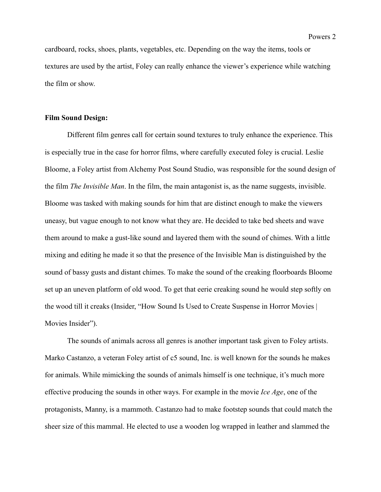cardboard, rocks, shoes, plants, vegetables, etc. Depending on the way the items, tools or textures are used by the artist, Foley can really enhance the viewer's experience while watching the film or show.

#### **Film Sound Design:**

Different film genres call for certain sound textures to truly enhance the experience. This is especially true in the case for horror films, where carefully executed foley is crucial. Leslie Bloome, a Foley artist from Alchemy Post Sound Studio, was responsible for the sound design of the film *The Invisible Man*. In the film, the main antagonist is, as the name suggests, invisible. Bloome was tasked with making sounds for him that are distinct enough to make the viewers uneasy, but vague enough to not know what they are. He decided to take bed sheets and wave them around to make a gust-like sound and layered them with the sound of chimes. With a little mixing and editing he made it so that the presence of the Invisible Man is distinguished by the sound of bassy gusts and distant chimes. To make the sound of the creaking floorboards Bloome set up an uneven platform of old wood. To get that eerie creaking sound he would step softly on the wood till it creaks (Insider, "How Sound Is Used to Create Suspense in Horror Movies | Movies Insider").

The sounds of animals across all genres is another important task given to Foley artists. Marko Castanzo, a veteran Foley artist of c5 sound, Inc. is well known for the sounds he makes for animals. While mimicking the sounds of animals himself is one technique, it's much more effective producing the sounds in other ways. For example in the movie *Ice Age*, one of the protagonists, Manny, is a mammoth. Castanzo had to make footstep sounds that could match the sheer size of this mammal. He elected to use a wooden log wrapped in leather and slammed the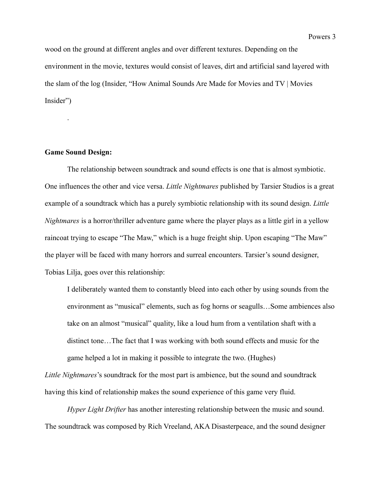wood on the ground at different angles and over different textures. Depending on the environment in the movie, textures would consist of leaves, dirt and artificial sand layered with the slam of the log (Insider, "How Animal Sounds Are Made for Movies and TV | Movies Insider")

### **Game Sound Design:**

.

The relationship between soundtrack and sound effects is one that is almost symbiotic. One influences the other and vice versa. *Little Nightmares* published by Tarsier Studios is a great example of a soundtrack which has a purely symbiotic relationship with its sound design. *Little Nightmares* is a horror/thriller adventure game where the player plays as a little girl in a yellow raincoat trying to escape "The Maw," which is a huge freight ship. Upon escaping "The Maw" the player will be faced with many horrors and surreal encounters. Tarsier's sound designer, Tobias Lilja, goes over this relationship:

I deliberately wanted them to constantly bleed into each other by using sounds from the environment as "musical" elements, such as fog horns or seagulls…Some ambiences also take on an almost "musical" quality, like a loud hum from a ventilation shaft with a distinct tone…The fact that I was working with both sound effects and music for the game helped a lot in making it possible to integrate the two. (Hughes)

*Little Nightmares*'s soundtrack for the most part is ambience, but the sound and soundtrack having this kind of relationship makes the sound experience of this game very fluid.

*Hyper Light Drifter* has another interesting relationship between the music and sound. The soundtrack was composed by Rich Vreeland, AKA Disasterpeace, and the sound designer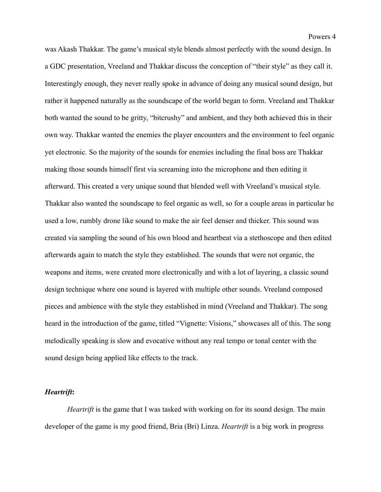was Akash Thakkar. The game's musical style blends almost perfectly with the sound design. In a GDC presentation, Vreeland and Thakkar discuss the conception of "their style" as they call it. Interestingly enough, they never really spoke in advance of doing any musical sound design, but rather it happened naturally as the soundscape of the world began to form. Vreeland and Thakkar both wanted the sound to be gritty, "bitcrushy" and ambient, and they both achieved this in their own way. Thakkar wanted the enemies the player encounters and the environment to feel organic yet electronic. So the majority of the sounds for enemies including the final boss are Thakkar making those sounds himself first via screaming into the microphone and then editing it afterward. This created a very unique sound that blended well with Vreeland's musical style. Thakkar also wanted the soundscape to feel organic as well, so for a couple areas in particular he used a low, rumbly drone like sound to make the air feel denser and thicker. This sound was created via sampling the sound of his own blood and heartbeat via a stethoscope and then edited afterwards again to match the style they established. The sounds that were not organic, the weapons and items, were created more electronically and with a lot of layering, a classic sound design technique where one sound is layered with multiple other sounds. Vreeland composed pieces and ambience with the style they established in mind (Vreeland and Thakkar). The song heard in the introduction of the game, titled "Vignette: Visions," showcases all of this. The song melodically speaking is slow and evocative without any real tempo or tonal center with the sound design being applied like effects to the track.

#### *Heartrift***:**

*Heartrift* is the game that I was tasked with working on for its sound design. The main developer of the game is my good friend, Bria (Bri) Linza. *Heartrift* is a big work in progress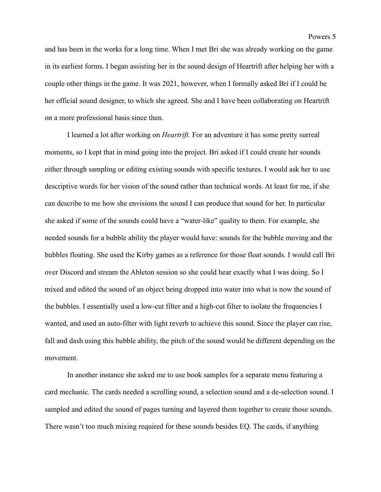and has been in the works for a long time. When I met Bri she was already working on the game in its earliest forms. I began assisting her in the sound design of Heartrift after helping her with a couple other things in the game. It was 2021, however, when I formally asked Bri if I could be her official sound designer, to which she agreed. She and I have been collaborating on Heartrift on a more professional basis since then.

I learned a lot after working on *Heartrift.* For an adventure it has some pretty surreal moments, so I kept that in mind going into the project. Bri asked if I could create her sounds either through sampling or editing existing sounds with specific textures. I would ask her to use descriptive words for her vision of the sound rather than technical words. At least for me, if she can describe to me how she envisions the sound I can produce that sound for her. In particular she asked if some of the sounds could have a "water-like" quality to them. For example, she needed sounds for a bubble ability the player would have: sounds for the bubble moving and the bubbles floating. She used the Kirby games as a reference for those float sounds. I would call Bri over Discord and stream the Ableton session so she could hear exactly what I was doing. So I mixed and edited the sound of an object being dropped into water into what is now the sound of the bubbles. I essentially used a low-cut filter and a high-cut filter to isolate the frequencies I wanted, and used an auto-filter with light reverb to achieve this sound. Since the player can rise, fall and dash using this bubble ability, the pitch of the sound would be different depending on the movement.

In another instance she asked me to use book samples for a separate menu featuring a card mechanic. The cards needed a scrolling sound, a selection sound and a de-selection sound. I sampled and edited the sound of pages turning and layered them together to create those sounds. There wasn't too much mixing required for these sounds besides EQ. The cards, if anything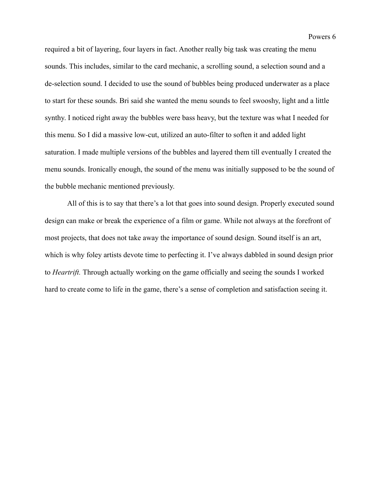Powers 6

required a bit of layering, four layers in fact. Another really big task was creating the menu sounds. This includes, similar to the card mechanic, a scrolling sound, a selection sound and a de-selection sound. I decided to use the sound of bubbles being produced underwater as a place to start for these sounds. Bri said she wanted the menu sounds to feel swooshy, light and a little synthy. I noticed right away the bubbles were bass heavy, but the texture was what I needed for this menu. So I did a massive low-cut, utilized an auto-filter to soften it and added light saturation. I made multiple versions of the bubbles and layered them till eventually I created the menu sounds. Ironically enough, the sound of the menu was initially supposed to be the sound of the bubble mechanic mentioned previously.

All of this is to say that there's a lot that goes into sound design. Properly executed sound design can make or break the experience of a film or game. While not always at the forefront of most projects, that does not take away the importance of sound design. Sound itself is an art, which is why foley artists devote time to perfecting it. I've always dabbled in sound design prior to *Heartrift.* Through actually working on the game officially and seeing the sounds I worked hard to create come to life in the game, there's a sense of completion and satisfaction seeing it.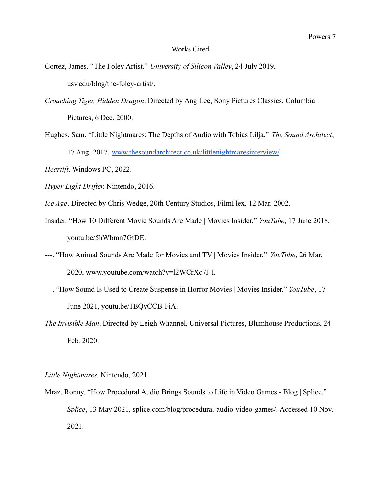#### Works Cited

Cortez, James. "The Foley Artist." *University of Silicon Valley*, 24 July 2019, usv.edu/blog/the-foley-artist/.

- *Crouching Tiger, Hidden Dragon*. Directed by Ang Lee, Sony Pictures Classics, Columbia Pictures, 6 Dec. 2000.
- Hughes, Sam. "Little Nightmares: The Depths of Audio with Tobias Lilja." *The Sound Architect*, 17 Aug. 2017, [www.thesoundarchitect.co.uk/littlenightmaresinterview/](http://www.thesoundarchitect.co.uk/littlenightmaresinterview/).
- *Heartift*. Windows PC, 2022.
- *Hyper Light Drifter.* Nintendo, 2016.
- *Ice Age*. Directed by Chris Wedge, 20th Century Studios, FilmFlex, 12 Mar. 2002.
- Insider. "How 10 Different Movie Sounds Are Made | Movies Insider." *YouTube*, 17 June 2018, youtu.be/5hWbmn7GtDE.
- ---. "How Animal Sounds Are Made for Movies and TV | Movies Insider." *YouTube*, 26 Mar. 2020, www.youtube.com/watch?v=l2WCrXc7J-I.
- ---. "How Sound Is Used to Create Suspense in Horror Movies | Movies Insider." *YouTube*, 17 June 2021, youtu.be/1BQvCCB-PiA.
- *The Invisible Man*. Directed by Leigh Whannel, Universal Pictures, Blumhouse Productions, 24 Feb. 2020.

*Little Nightmares.* Nintendo, 2021.

Mraz, Ronny. "How Procedural Audio Brings Sounds to Life in Video Games - Blog | Splice." *Splice*, 13 May 2021, splice.com/blog/procedural-audio-video-games/. Accessed 10 Nov. 2021.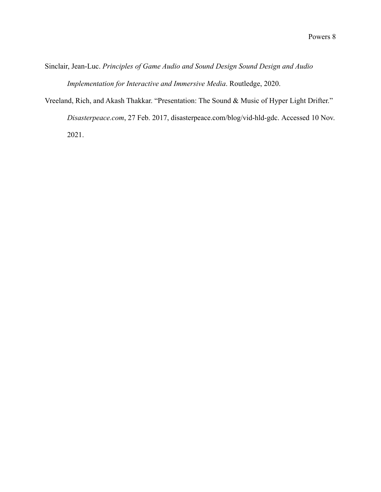Sinclair, Jean-Luc. *Principles of Game Audio and Sound Design Sound Design and Audio Implementation for Interactive and Immersive Media*. Routledge, 2020.

Vreeland, Rich, and Akash Thakkar. "Presentation: The Sound & Music of Hyper Light Drifter."

*Disasterpeace.com*, 27 Feb. 2017, disasterpeace.com/blog/vid-hld-gdc. Accessed 10 Nov. 2021.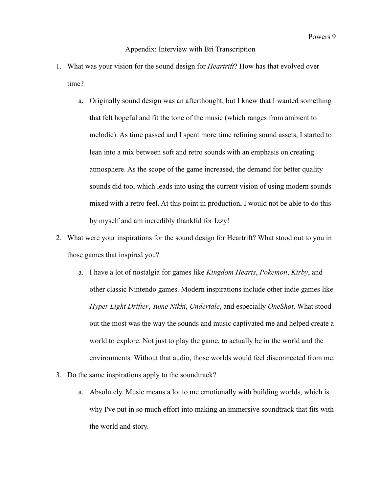#### Appendix: Interview with Bri Transcription

- 1. What was your vision for the sound design for *Heartrift*? How has that evolved over time?
	- a. Originally sound design was an afterthought, but I knew that I wanted something that felt hopeful and fit the tone of the music (which ranges from ambient to melodic). As time passed and I spent more time refining sound assets, I started to lean into a mix between soft and retro sounds with an emphasis on creating atmosphere. As the scope of the game increased, the demand for better quality sounds did too, which leads into using the current vision of using modern sounds mixed with a retro feel. At this point in production, I would not be able to do this by myself and am incredibly thankful for Izzy!
- 2. What were your inspirations for the sound design for Heartrift? What stood out to you in those games that inspired you?
	- a. I have a lot of nostalgia for games like *Kingdom Hearts*, *Pokemon*, *Kirby*, and other classic Nintendo games. Modern inspirations include other indie games like *Hyper Light Drifter*, *Yume Nikki*, *Undertale*, and especially *OneShot*. What stood out the most was the way the sounds and music captivated me and helped create a world to explore. Not just to play the game, to actually be in the world and the environments. Without that audio, those worlds would feel disconnected from me.
- 3. Do the same inspirations apply to the soundtrack?
	- a. Absolutely. Music means a lot to me emotionally with building worlds, which is why I've put in so much effort into making an immersive soundtrack that fits with the world and story.